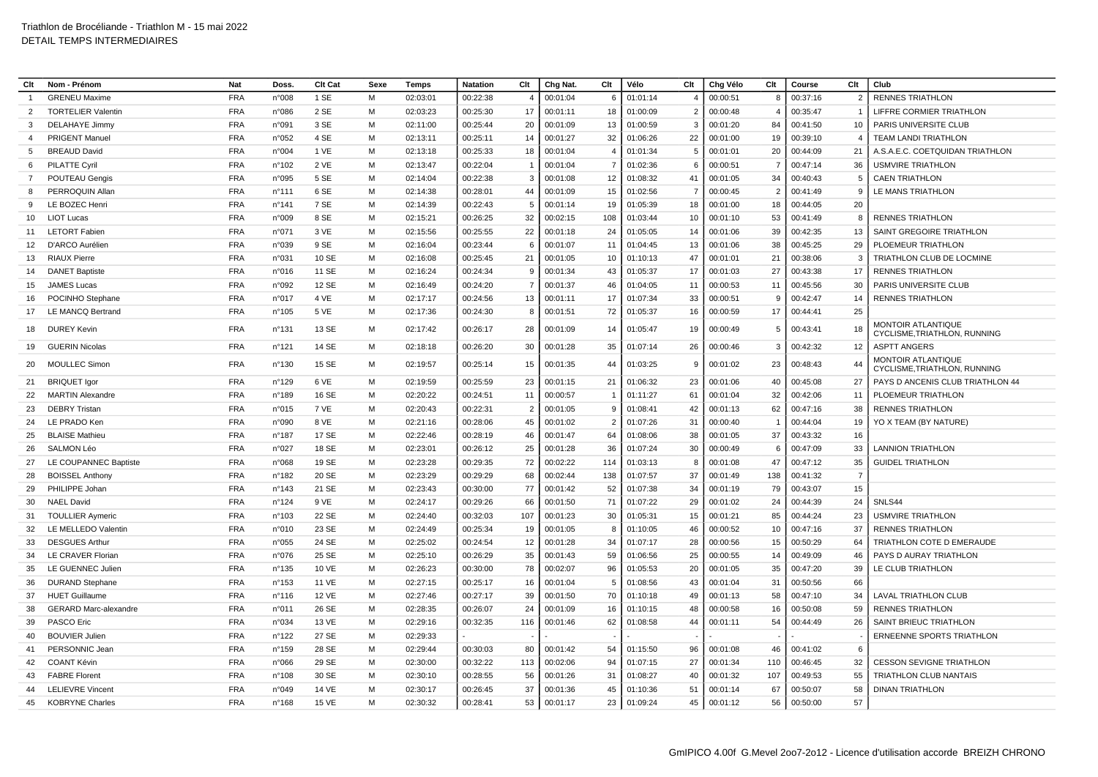| Clt            | Nom - Prénom                                          | <b>Nat</b>               | Doss.           | Clt Cat        | Sexe   | Temps                | Natation             | Clt            | Chg Nat. | Clt            | Vélo                 | Clt            | Chg Vélo             | Clt            | Course   | Clt            | Club                                                      |
|----------------|-------------------------------------------------------|--------------------------|-----------------|----------------|--------|----------------------|----------------------|----------------|----------|----------------|----------------------|----------------|----------------------|----------------|----------|----------------|-----------------------------------------------------------|
|                | <b>GRENEU Maxime</b>                                  | <b>FRA</b>               | n°008           | 1 SE           | M      | 02:03:01             | 00:22:38             | $\overline{4}$ | 00:01:04 | 6              | 01:01:14             |                | 00:00:51             | 8              | 00:37:16 | $\overline{2}$ | <b>RENNES TRIATHLON</b>                                   |
| 2              | <b>TORTELIER Valentin</b>                             | <b>FRA</b>               | n°086           | 2 SE           | M      | 02:03:23             | 00:25:30             | 17             | 00:01:11 | 18             | 01:00:09             | $\overline{2}$ | 00:00:48             |                | 00:35:47 | - 1            | LIFFRE CORMIER TRIATHLON                                  |
| 3              | <b>DELAHAYE Jimmy</b>                                 | <b>FRA</b>               | n°091           | 3 SE           | M      | 02:11:00             | 00:25:44             | 20             | 00:01:09 | 13             | 01:00:59             | 3              | 00:01:20             | 84             | 00:41:50 | 10             | PARIS UNIVERSITE CLUB                                     |
| $\overline{a}$ | PRIGENT Manuel                                        | <b>FRA</b>               | n°052           | 4 SE           | M      | 02:13:11             | 00:25:11             | 14             | 00:01:27 | 32             | 01:06:26             | 22             | 00:01:00             | 19             | 00:39:10 | $\overline{A}$ | TEAM LANDI TRIATHLON                                      |
| -5             | <b>BREAUD David</b>                                   | <b>FRA</b>               | n°004           | 1 VE           | M      | 02:13:18             | 00:25:33             | 18             | 00:01:04 | $\overline{4}$ | 01:01:34             | -5             | 00:01:01             | 20             | 00:44:09 | 21             | A.S.A.E.C. COETQUIDAN TRIATHLON                           |
| 6              | <b>PILATTE Cyril</b>                                  | <b>FRA</b>               | n°102           | 2 VE           | M      | 02:13:47             | 00:22:04             | $\overline{1}$ | 00:01:04 | $\overline{7}$ | 01:02:36             | 6              | 00:00:51             | $\overline{7}$ | 00:47:14 | 36             | <b>USMVIRE TRIATHLON</b>                                  |
| $\overline{7}$ | POUTEAU Gengis                                        | <b>FRA</b>               | n°095           | 5 SE           | M      | 02:14:04             | 00:22:38             | 3              | 00:01:08 | 12             | 01:08:32             | 41             | 00:01:05             | 34             | 00:40:43 | 5              | <b>CAEN TRIATHLON</b>                                     |
| 8              | PERROQUIN Allar                                       | <b>FRA</b>               | n°111           | 6 SE           | м      | 02:14:38             | 00:28:01             | 44             | 00:01:09 | 15             | 01:02:56             | $\overline{7}$ | 00:00:45             | $\overline{2}$ | 00:41:49 | -9             | LE MANS TRIATHLON                                         |
| <sub>9</sub>   | LE BOZEC Henri                                        | <b>FRA</b>               | $n^{\circ}$ 141 | 7 SE           | M      | 02:14:39             | 00:22:43             | 5              | 00:01:14 | 19             | 01:05:39             | 18             | 00:01:00             | 18             | 00:44:05 | 20             |                                                           |
| 10             | <b>LIOT Lucas</b>                                     | <b>FRA</b>               | n°009           | 8 SE           | M      | 02:15:21             | 00:26:25             | 32             | 00:02:15 | 108            | 01:03:44             | 10             | 00:01:10             | 53             | 00:41:49 | -8             | <b>RENNES TRIATHLON</b>                                   |
| 11             | <b>LETORT Fabien</b>                                  | <b>FRA</b>               | n°071           | 3 VE           | M      | 02:15:56             | 00:25:55             | 22             | 00:01:18 | 24             | 01:05:05             | 14             | 00:01:06             | 39             | 00:42:35 | 13             | SAINT GREGOIRE TRIATHLON                                  |
| 12             | D'ARCO Aurélien                                       | <b>FRA</b>               | n°039           | 9 SE           | M      | 02:16:04             | 00:23:44             | 6              | 00:01:07 | 11             | 01:04:45             | 13             | 00:01:06             | 38             | 00:45:25 | 29             | PLOEMEUR TRIATHLON                                        |
| 13             | <b>RIAUX Pierre</b>                                   | <b>FRA</b>               | n°031           | 10 SE          | М      | 02:16:08             | 00:25:45             | 21             | 00:01:05 | 10             | 01:10:13             | 47             | 00:01:01             | 21             | 00:38:06 | 3              | TRIATHLON CLUB DE LOCMINE                                 |
| 14             | <b>DANET Baptiste</b>                                 | <b>FRA</b>               | n°016           | 11 SE          | M      | 02:16:24             | 00:24:34             | 9              | 00:01:34 | 43             | 01:05:37             | 17             | 00:01:03             | 27             | 00:43:38 | 17             | <b>RENNES TRIATHLON</b>                                   |
| 15             | JAMES Lucas                                           | <b>FRA</b>               | n°092           | 12 SE          | M      | 02:16:49             | 00:24:20             | $\overline{7}$ | 00:01:37 | 46             | 01:04:05             | 11             | 00:00:53             | 11             | 00:45:56 | 30             | PARIS UNIVERSITE CLUB                                     |
| 16             | POCINHO Stephane                                      | <b>FRA</b>               | n°017           | 4 VE           | м      | 02:17:17             | 00:24:56             | 13             | 00:01:11 | 17             | 01:07:34             | 33             | 00:00:51             | -9             | 00:42:47 | 14             | <b>RENNES TRIATHLON</b>                                   |
| 17             | LE MANCQ Bertrand                                     | <b>FRA</b>               | n°105           | 5 VE           | м      | 02:17:36             | 00:24:30             | 8              | 00:01:51 | 72             | 01:05:37             | 16             | 00:00:59             | 17             | 00:44:41 | 25             |                                                           |
| 18             | <b>DUREY Kevin</b>                                    | <b>FRA</b>               | $n^{\circ}$ 131 | 13 SE          | M      | 02:17:42             | 00:26:17             | 28             | 00:01:09 | 14             | 01:05:47             | 19             | 00:00:49             | -5             | 00:43:41 | 18             | <b>MONTOIR ATLANTIQUE</b><br>CYCLISME, TRIATHLON, RUNNING |
| 19             | <b>GUERIN Nicolas</b>                                 | <b>FRA</b>               | n°121           | 14 SE          | M      | 02:18:18             | 00:26:20             | 30             | 00:01:28 | 35             | 01:07:14             | 26             | 00:00:46             | 3              | 00:42:32 | 12             | <b>ASPTT ANGERS</b>                                       |
| 20             | <b>MOULLEC Simon</b>                                  | <b>FRA</b>               | n°130           | 15 SE          | M      | 02:19:57             | 00:25:14             | 15             | 00:01:35 | 44             | 01:03:25             | 9              | 00:01:02             | 23             | 00:48:43 | 44             | MONTOIR ATLANTIQUE<br>CYCLISME, TRIATHLON, RUNNING        |
| 21             | <b>BRIQUET Igor</b>                                   | <b>FRA</b>               | n°129           | 6 VE           | M      | 02:19:59             | 00:25:59             | 23             | 00:01:15 | 21             | 01:06:32             | 23             | 00:01:06             | 40             | 00:45:08 | 27             | PAYS D ANCENIS CLUB TRIATHLON 44                          |
| 22             | <b>MARTIN Alexandre</b>                               | <b>FRA</b>               | n°189           | 16 SE          | м      | 02:20:22             | 00:24:51             | 11             | 00:00:57 | $\mathbf{1}$   | 01:11:27             | 61             | 00:01:04             | 32             | 00:42:06 | 11             | PLOEMEUR TRIATHLON                                        |
| 23             | <b>DEBRY Tristan</b>                                  | <b>FRA</b>               | n°015           | 7 VE           | M      | 02:20:43             | 00:22:31             | $\overline{2}$ | 00:01:05 | 9              | 01:08:41             | 42             | 00:01:13             | 62             | 00:47:16 | 38             | <b>RENNES TRIATHLON</b>                                   |
| 24             | LE PRADO Ken                                          | <b>FRA</b>               | n°090           | 8 VE           | M      | 02:21:16             | 00:28:06             | 45             | 00:01:02 | $\overline{2}$ | 01:07:26             | 31             | 00:00:40             |                | 00:44:04 | 19             | YO X TEAM (BY NATURE)                                     |
| 25             | <b>BLAISE Mathieu</b>                                 | <b>FRA</b>               | n°187           | 17 SE          | м      | 02:22:46             | 00:28:19             | 46             | 00:01:47 | 64             | 01:08:06             | 38             | 00:01:05             | 37             | 00:43:32 | 16             |                                                           |
| 26             | <b>SALMON Léo</b>                                     | <b>FRA</b>               | n°027           | 18 SE          | M      | 02:23:01             | 00:26:12             | 25             | 00:01:28 | 36             | 01:07:24             | 30             | 00:00:49             | -6             | 00:47:09 | 33             | <b>LANNION TRIATHLON</b>                                  |
| 27             | LE COUPANNEC Baptiste                                 | <b>FRA</b>               | n°068           | 19 SE          | M      | 02:23:28             | 00:29:35             | 72             | 00:02:22 | 114            | 01:03:13             | 8              | 00:01:08             | 47             | 00:47:12 | 35             | <b>GUIDEL TRIATHLON</b>                                   |
| 28             | <b>BOISSEL Anthony</b>                                | <b>FRA</b>               | n°182           | 20 SE          | M      | 02:23:29             | 00:29:29             | 68             | 00:02:44 | 138            | 01:07:57             | 37             | 00:01:49             | 138            | 00:41:32 | $\overline{7}$ |                                                           |
| 29             | PHILIPPE Johan                                        | <b>FRA</b>               | n°143           | 21 SE          | M      | 02:23:43             | 00:30:00             | 77             | 00:01:42 | 52             | 01:07:38             | 34             | 00:01:19             | 79             | 00:43:07 | 15             |                                                           |
| 30             | <b>NAEL David</b>                                     | <b>FRA</b>               | $n^{\circ}$ 124 | 9 VE           | M      | 02:24:17             | 00:29:26             | 66             | 00:01:50 | 71             | 01:07:22             | 29             | 00:01:02             | 24             | 00:44:39 | 24             | SNLS44                                                    |
| 31             | <b>TOULLIER Aymeric</b>                               | <b>FRA</b>               | n°103           | 22 SE          | M      | 02:24:40             | 00:32:03             | 107            | 00:01:23 | 30             | 01:05:31             | 15             | 00:01:21             | 85             | 00:44:24 | 23             | <b>USMVIRE TRIATHLON</b>                                  |
| 32             | LE MELLEDO Valentin                                   | <b>FRA</b>               | n°010           | 23 SE          | M      | 02:24:49             | 00:25:34             | 19             | 00:01:05 | 8              | 01:10:05             | 46             | 00:00:52             | 10             | 00:47:16 | 37             | <b>RENNES TRIATHLON</b>                                   |
| 33             | <b>DESGUES Arthur</b>                                 | <b>FRA</b>               | n°055           | 24 SE          | м      | 02:25:02             | 00:24:54             | 12             | 00:01:28 | 34             | 01:07:17             | 28             | 00:00:56             | 15             | 00:50:29 | 64             | TRIATHLON COTE D EMERAUDE                                 |
| 34             | LE CRAVER Florian                                     | <b>FRA</b>               | n°076           | 25 SE          | м      | 02:25:10             | 00:26:29             | 35             | 00:01:43 | 59             | 01:06:56             | 25             | 00:00:55             | 14             | 00:49:09 | 46             | PAYS D AURAY TRIATHLON                                    |
| 35             | LE GUENNEC Julier                                     | <b>FRA</b>               | n°135           | 10 VE          | M      | 02:26:23             | 00:30:00             | 78             | 00:02:07 | 96             | 01:05:53             | 20             | 00:01:05             | 35             | 00:47:20 | 39             | LE CLUB TRIATHLON                                         |
| 36             | <b>DURAND Stephane</b>                                | <b>FRA</b>               | $n^{\circ}$ 153 | 11 VE          | M      | 02:27:15             | 00:25:17             | 16             | 00:01:04 | 5              | 01:08:56             | 43             | 00:01:04             | 31             | 00:50:56 | 66             |                                                           |
| 37<br>38       | <b>HUET Guillaume</b><br><b>GERARD Marc-alexandre</b> | <b>FRA</b>               | $n^{\circ}$ 116 | 12 VE          | M<br>M | 02:27:46             | 00:27:17             | 39             | 00:01:50 | 70             | 01:10:18             | 49<br>48       | 00:01:13             | 58             | 00:47:10 | 34<br>59       | <b>LAVAL TRIATHLON CLUB</b><br><b>RENNES TRIATHLON</b>    |
|                |                                                       | <b>FRA</b>               | n°011           | 26 SE          |        | 02:28:35             | 00:26:07             | 24             | 00:01:09 | 16             | 01:10:15             |                | 00:00:58             | 16             | 00:50:08 |                |                                                           |
| 39             | PASCO Eric<br><b>BOUVIER Julien</b>                   | <b>FRA</b><br><b>FRA</b> | n°034<br>n°122  | 13 VE<br>27 SE | м<br>M | 02:29:16<br>02:29:33 | 00:32:35             | 116            | 00:01:46 | 62             | 01:08:58             | 44             | 00:01:11             | 54             | 00:44:49 | 26             | SAINT BRIEUC TRIATHLON                                    |
| 40<br>41       | PERSONNIC Jean                                        | <b>FRA</b>               | n°159           | 28 SE          | M      |                      |                      |                | 00:01:42 |                |                      |                |                      | 46             | 00:41:02 | 6              | ERNEENNE SPORTS TRIATHLON                                 |
|                | <b>COANT Kévin</b>                                    | <b>FRA</b>               | n°066           | 29 SE          | м      | 02:29:44<br>02:30:00 | 00:30:03<br>00:32:22 | 80<br>113      | 00:02:06 | 54<br>94       | 01:15:50<br>01:07:15 | 96<br>27       | 00:01:08<br>00:01:34 | 110            | 00:46:45 | 32             | <b>CESSON SEVIGNE TRIATHLON</b>                           |
| 42<br>43       | <b>FABRE Florent</b>                                  | <b>FRA</b>               | n°108           | 30 SE          | M      | 02:30:10             | 00:28:55             | 56             | 00:01:26 | 31             | 01:08:27             | 40             | 00:01:32             | 107            | 00:49:53 | 55             | TRIATHLON CLUB NANTAIS                                    |
| 44             | <b>LELIEVRE Vincent</b>                               | <b>FRA</b>               | n°049           | 14 VE          | M      | 02:30:17             | 00:26:45             | 37             | 00:01:36 | 45             | 01:10:36             | 51             | 00:01:14             | 67             | 00:50:07 | 58             | <b>DINAN TRIATHLON</b>                                    |
| 45             | <b>KOBRYNE Charles</b>                                | <b>FRA</b>               | $n^{\circ}$ 168 | 15 VE          | M      | 02:30:32             | 00:28:41             | 53             | 00:01:17 | 23             | 01:09:24             | 45             | 00:01:12             | 56             | 00:50:00 | 57             |                                                           |
|                |                                                       |                          |                 |                |        |                      |                      |                |          |                |                      |                |                      |                |          |                |                                                           |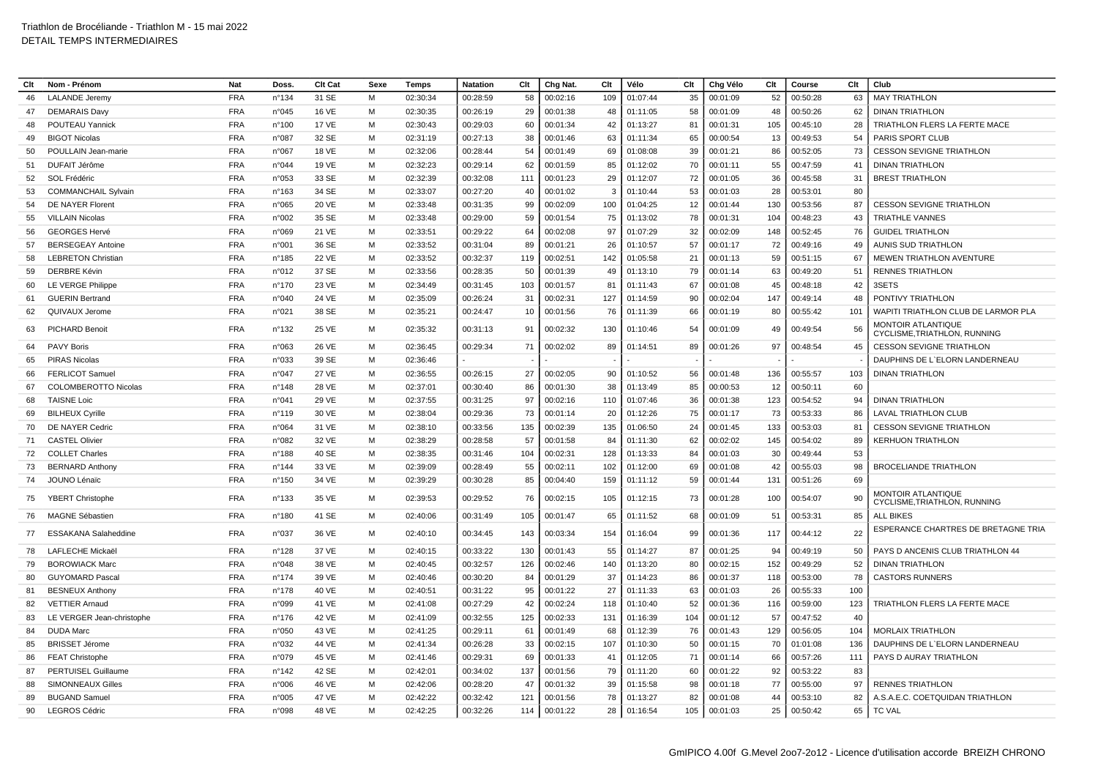| Clt      | Nom - Prénom                                     | Nat        | Doss            | Clt Cat        | Sexe           | Temps    | <b>Natation</b>      | Clt       | Chg Nat  | Clt       | Vélo     | Clt      | Chg Vélo | Clt | Course   | Clt      | Club                                               |
|----------|--------------------------------------------------|------------|-----------------|----------------|----------------|----------|----------------------|-----------|----------|-----------|----------|----------|----------|-----|----------|----------|----------------------------------------------------|
| 46       | <b>LALANDE</b> Jeremy                            | <b>FRA</b> | n°134           | 31 SE          | M              | 02:30:34 | 00:28:59             | 58        | 00:02:16 | 109       | 01:07:44 | 35       | 00:01:09 | 52  | 00:50:28 | 63       | <b>MAY TRIATHLON</b>                               |
| 47       | <b>DEMARAIS Davy</b>                             | <b>FRA</b> | n°045           | 16 VE          | м              | 02:30:35 | 00:26:19             | 29        | 00:01:38 | 48        | 01:11:05 | 58       | 00:01:09 | 48  | 00:50:26 | 62       | <b>DINAN TRIATHLON</b>                             |
| 48       | <b>POUTEAU Yannick</b>                           | <b>FRA</b> | n°100           | <b>17 VE</b>   | м              | 02:30:43 | 00:29:03             | 60        | 00:01:34 | 42        | 01:13:27 | 81       | 00:01:31 | 105 | 00:45:10 | 28       | <b>TRIATHLON FLERS LA FERTE MACE</b>               |
| 49       | <b>BIGOT Nicolas</b>                             | <b>FRA</b> | n°087           | 32 SE          | M              | 02:31:19 | 00:27:13             | 38        | 00:01:46 | 63        | 01:11:34 | 65       | 00:00:54 | 13  | 00:49:53 | 54       | <b>PARIS SPORT CLUB</b>                            |
| 50       | POULLAIN Jean-marie                              | <b>FRA</b> | n°067           | <b>18 VE</b>   | м              | 02:32:06 | 00:28:44             | 54        | 00:01:49 | 69        | 01:08:08 | 39       | 00:01:21 | 86  | 00:52:05 | 73       | <b>CESSON SEVIGNE TRIATHLON</b>                    |
| 51       | DUFAIT Jérôme                                    | <b>FRA</b> | n°044           | 19 VE          | M              | 02:32:23 | 00:29:14             | 62        | 00:01:59 | 85        | 01:12:02 | 70       | 00:01:11 | 55  | 00:47:59 | 41       | <b>DINAN TRIATHLON</b>                             |
| 52       | SOL Frédéric                                     | <b>FRA</b> | n°053           | 33 SE          | м              | 02:32:39 | 00:32:08             | 111       | 00:01:23 | 29        | 01:12:07 | 72       | 00:01:05 | 36  | 00:45:58 | 31       | <b>BREST TRIATHLON</b>                             |
| 53       | <b>COMMANCHAIL Sylvain</b>                       | <b>FRA</b> | n°163           | 34 SE          | M              | 02:33:07 | 00:27:20             | 40        | 00:01:02 | 3         | 01:10:44 | 53       | 00:01:03 | 28  | 00:53:01 | 80       |                                                    |
|          | DE NAYER Florent                                 | <b>FRA</b> | n°065           | 20 VE          | M              | 02:33:48 | 00:31:35             | 99        | 00:02:09 | 100       | 01:04:25 | 12       | 00:01:44 | 130 | 00:53:56 | 87       | <b>CESSON SEVIGNE TRIATHLON</b>                    |
| 54<br>55 | <b>VILLAIN Nicolas</b>                           | <b>FRA</b> | n°002           | 35 SE          | м              | 02:33:48 | 00:29:00             | 59        | 00:01:54 | 75        | 01:13:02 | 78       | 00:01:31 | 104 | 00:48:23 | 43       | <b>TRIATHLE VANNES</b>                             |
|          | <b>GEORGES Hervé</b>                             | <b>FRA</b> | n°069           | 21 VE          | м              | 02:33:51 | 00:29:22             | 64        | 00:02:08 | 97        | 01:07:29 | 32       | 00:02:09 | 148 | 00:52:45 | 76       | <b>GUIDEL TRIATHLON</b>                            |
| 56       |                                                  | <b>FRA</b> |                 |                | M              |          |                      |           |          |           |          |          |          |     |          |          |                                                    |
| 57       | <b>BERSEGEAY Antoine</b>                         | <b>FRA</b> | n°001           | 36 SE          | M              | 02:33:52 | 00:31:04             | 89<br>119 | 00:01:21 | 26        | 01:10:57 | 57       | 00:01:17 | 72  | 00:49:16 | 49       | AUNIS SUD TRIATHLON                                |
| 58<br>59 | <b>LEBRETON Christian</b><br><b>DERBRE Kévin</b> | <b>FRA</b> | n°185           | 22 VE<br>37 SE | м              | 02:33:52 | 00:32:37<br>00:28:35 |           | 00:02:51 | 142<br>49 | 01:05:58 | 21<br>79 | 00:01:13 | 59  | 00:51:15 | 67<br>51 | MEWEN TRIATHLON AVENTURE                           |
|          |                                                  |            | n°012           |                |                | 02:33:56 |                      | 50        | 00:01:39 |           | 01:13:10 |          | 00:01:14 | 63  | 00:49:20 |          | <b>RENNES TRIATHLON</b>                            |
| 60       | LE VERGE Philippe                                | <b>FRA</b> | $n^{\circ}$ 170 | 23 VE          | M              | 02:34:49 | 00:31:45             | 103       | 00:01:57 | 81        | 01:11:43 | 67       | 00:01:08 | 45  | 00:48:18 | 42       | 3SETS                                              |
| 61       | <b>GUERIN Bertrand</b>                           | <b>FRA</b> | n°040           | 24 VE          | М              | 02:35:09 | 00:26:24             | 31        | 00:02:31 | 127       | 01:14:59 | 90       | 00:02:04 | 147 | 00:49:14 | 48       | PONTIVY TRIATHLON                                  |
| 62       | QUIVAUX Jerome                                   | <b>FRA</b> | n°021           | 38 SE          | M              | 02:35:21 | 00:24:47             | 10        | 00:01:56 | 76        | 01:11:39 | 66       | 00:01:19 | 80  | 00:55:42 | 101      | WAPITI TRIATHLON CLUB DE LARMOR PLA                |
| 63       | PICHARD Benoit                                   | <b>FRA</b> | n°132           | 25 VE          | м              | 02:35:32 | 00:31:13             | 91        | 00:02:32 | 130       | 01:10:46 | 54       | 00:01:09 | 49  | 00:49:54 | 56       | MONTOIR ATLANTIQUE<br>CYCLISME, TRIATHLON, RUNNING |
| 64       | <b>PAVY Boris</b>                                | <b>FRA</b> | n°063           | 26 VE          | M              | 02:36:45 | 00:29:34             | 71        | 00:02:02 | 89        | 01:14:51 | 89       | 00:01:26 | 97  | 00:48:54 | 45       | <b>CESSON SEVIGNE TRIATHLON</b>                    |
| 65       | <b>PIRAS Nicolas</b>                             | <b>FRA</b> | n°033           | 39 SE          | M              | 02:36:46 |                      |           |          |           |          |          |          |     |          |          | DAUPHINS DE L'ELORN LANDERNEAU                     |
| 66       | <b>FERLICOT Samuel</b>                           | <b>FRA</b> | n°047           | 27 VE          | M              | 02:36:55 | 00:26:15             | 27        | 00:02:05 | 90        | 01:10:52 | 56       | 00:01:48 | 136 | 00:55:57 | 103      | <b>DINAN TRIATHLON</b>                             |
| 67       | <b>COLOMBEROTTO Nicolas</b>                      | <b>FRA</b> | $n^{\circ}$ 148 | 28 VE          | M              | 02:37:01 | 00:30:40             | 86        | 00:01:30 | 38        | 01:13:49 | 85       | 00:00:53 | 12  | 00:50:11 | 60       |                                                    |
| 68       | <b>TAISNE Loic</b>                               | <b>FRA</b> | n°041           | 29 VE          | $\overline{M}$ | 02:37:55 | 00:31:25             | 97        | 00:02:16 | 110       | 01:07:46 | 36       | 00:01:38 | 123 | 00:54:52 | 94       | <b>DINAN TRIATHLON</b>                             |
| 69       | <b>BILHEUX Cyrille</b>                           | <b>FRA</b> | n°119           | 30 VE          | M              | 02:38:04 | 00:29:36             | 73        | 00:01:14 | 20        | 01:12:26 | 75       | 00:01:17 | 73  | 00:53:33 | 86       | LAVAL TRIATHLON CLUB                               |
| 70       | DE NAYER Cedric                                  | <b>FRA</b> | n°064           | 31 VE          | м              | 02:38:10 | 00:33:56             | 135       | 00:02:39 | 135       | 01:06:50 | 24       | 00:01:45 | 133 | 00:53:03 | 81       | <b>CESSON SEVIGNE TRIATHLON</b>                    |
| 71       | <b>CASTEL Olivier</b>                            | <b>FRA</b> | n°082           | 32 VE          | М              | 02:38:29 | 00:28:58             | 57        | 00:01:58 | 84        | 01:11:30 | 62       | 00:02:02 | 145 | 00:54:02 | 89       | KERHUON TRIATHLON                                  |
| 72       | <b>COLLET Charles</b>                            | <b>FRA</b> | n°188           | 40 SE          | м              | 02:38:35 | 00:31:46             | 104       | 00:02:31 | 128       | 01:13:33 | 84       | 00:01:03 | 30  | 00:49:44 | 53       |                                                    |
| 73       | <b>BERNARD Anthony</b>                           | <b>FRA</b> | $n^{\circ}$ 144 | 33 VE          | м              | 02:39:09 | 00:28:49             | 55        | 00:02:11 | 102       | 01:12:00 | 69       | 00:01:08 | 42  | 00:55:03 | 98       | <b>BROCELIANDE TRIATHLON</b>                       |
| 74       | JOUNO Lénaïc                                     | <b>FRA</b> | n°150           | 34 VE          | м              | 02:39:29 | 00:30:28             | 85        | 00:04:40 | 159       | 01:11:12 | 59       | 00:01:44 | 131 | 00:51:26 | 69       |                                                    |
| 75       | <b>YBERT Christophe</b>                          | <b>FRA</b> | n°133           | 35 VE          | м              | 02:39:53 | 00:29:52             | 76        | 00:02:15 | 105       | 01:12:15 | 73       | 00:01:28 | 100 | 00:54:07 | 90       | MONTOIR ATLANTIQUE<br>CYCLISME, TRIATHLON, RUNNING |
| 76       | <b>MAGNE Sébastien</b>                           | <b>FRA</b> | n°180           | 41 SE          | M              | 02:40:06 | 00:31:49             | 105       | 00:01:47 | 65        | 01:11:52 | 68       | 00:01:09 | 51  | 00:53:31 | 85       | <b>ALL BIKES</b>                                   |
| 77       | <b>ESSAKANA Salaheddine</b>                      | <b>FRA</b> | n°037           | 36 VE          | м              | 02:40:10 | 00:34:45             | 143       | 00:03:34 | 154       | 01:16:04 | 99       | 00:01:36 | 117 | 00:44:12 | 22       | ESPERANCE CHARTRES DE BRETAGNE TRIA                |
| -78      | <b>LAFLECHE Mickaël</b>                          | <b>FRA</b> | n°128           | 37 VE          | м              | 02:40:15 | 00:33:22             | 130       | 00:01:43 | 55        | 01:14:27 | 87       | 00:01:25 | 94  | 00:49:19 | 50       | PAYS D ANCENIS CLUB TRIATHLON 44                   |
| 79       | <b>BOROWIACK Marc</b>                            | <b>FRA</b> | n°048           | 38 VE          | M              | 02:40:45 | 00:32:57             | 126       | 00:02:46 | 140       | 01:13:20 | 80       | 00:02:15 | 152 | 00:49:29 | 52       | <b>DINAN TRIATHLON</b>                             |
| 80       | <b>GUYOMARD Pasca</b>                            | <b>FRA</b> | n°174           | 39 VE          | M              | 02:40:46 | 00:30:20             | 84        | 00:01:29 | 37        | 01:14:23 | 86       | 00:01:37 | 118 | 00:53:00 | 78       | <b>CASTORS RUNNERS</b>                             |
| 81       | <b>BESNEUX Anthon</b>                            | <b>FRA</b> | $n^{\circ}$ 178 | 40 VE          | M              | 02:40:51 | 00:31:22             | 95        | 00:01:22 | 27        | 01:11:33 | 63       | 00:01:03 | 26  | 00:55:33 | 100      |                                                    |
| 82       | <b>VETTIER Arnaud</b>                            | <b>FRA</b> | n°099           | 41 VE          | м              | 02:41:08 | 00:27:29             | 42        | 00:02:24 | 118       | 01:10:40 | 52       | 00:01:36 | 116 | 00:59:00 | 123      | TRIATHLON FLERS LA FERTE MACE                      |
| 83       | LE VERGER Jean-christophe                        | <b>FRA</b> | $n^{\circ}$ 176 | 42 VE          | М              | 02:41:09 | 00:32:55             | 125       | 00:02:33 | 131       | 01:16:39 | 104      | 00:01:12 | 57  | 00:47:52 | 40       |                                                    |
| 84       | <b>DUDA Marc</b>                                 | <b>FRA</b> | n°050           | 43 VE          | м              | 02:41:25 | 00:29:11             | 61        | 00:01:49 | 68        | 01:12:39 | 76       | 00:01:43 | 129 | 00:56:05 | 104      | <b>MORLAIX TRIATHLON</b>                           |
| 85       | <b>BRISSET Jérome</b>                            | <b>FRA</b> | n°032           | 44 VE          | м              | 02:41:34 | 00:26:28             | 33        | 00:02:15 | 107       | 01:10:30 | 50       | 00:01:15 | 70  | 01:01:08 | 136      | DAUPHINS DE L'ELORN LANDERNEAU                     |
| 86       | <b>FEAT Christophe</b>                           | <b>FRA</b> | n°079           | 45 VE          | м              | 02:41:46 | 00:29:31             | 69        | 00:01:33 | 41        | 01:12:05 | 71       | 00:01:14 | 66  | 00:57:26 | 111      | PAYS D AURAY TRIATHLON                             |
| 87       | <b>PERTUISEL Guillaume</b>                       | <b>FRA</b> | n°142           | 42 SE          | м              | 02:42:01 | 00:34:02             | 137       | 00:01:56 | 79        | 01:11:20 | 60       | 00:01:22 | 92  | 00:53:22 | 83       |                                                    |
| 88       | <b>SIMONNEAUX Gilles</b>                         | <b>FRA</b> | n°006           | 46 VE          | M              | 02:42:06 | 00:28:20             | 47        | 00:01:32 | 39        | 01:15:58 | 98       | 00:01:18 | 77  | 00:55:00 | 97       | <b>RENNES TRIATHLON</b>                            |
| 89       | <b>BUGAND Samuel</b>                             | <b>FRA</b> | n°005           | 47 VE          | M              | 02:42:22 | 00:32:42             | 121       | 00:01:56 | 78        | 01:13:27 | 82       | 00:01:08 | 44  | 00:53:10 | 82       | A.S.A.E.C. COETQUIDAN TRIATHLON                    |
| 90       | <b>LEGROS Cédric</b>                             | <b>FRA</b> | n°098           | 48 VE          | м              | 02:42:25 | 00:32:26             | 114       | 00:01:22 | 28        | 01:16:54 | 105      | 00:01:03 | 25  | 00:50:42 | 65       | <b>TC VAL</b>                                      |
|          |                                                  |            |                 |                |                |          |                      |           |          |           |          |          |          |     |          |          |                                                    |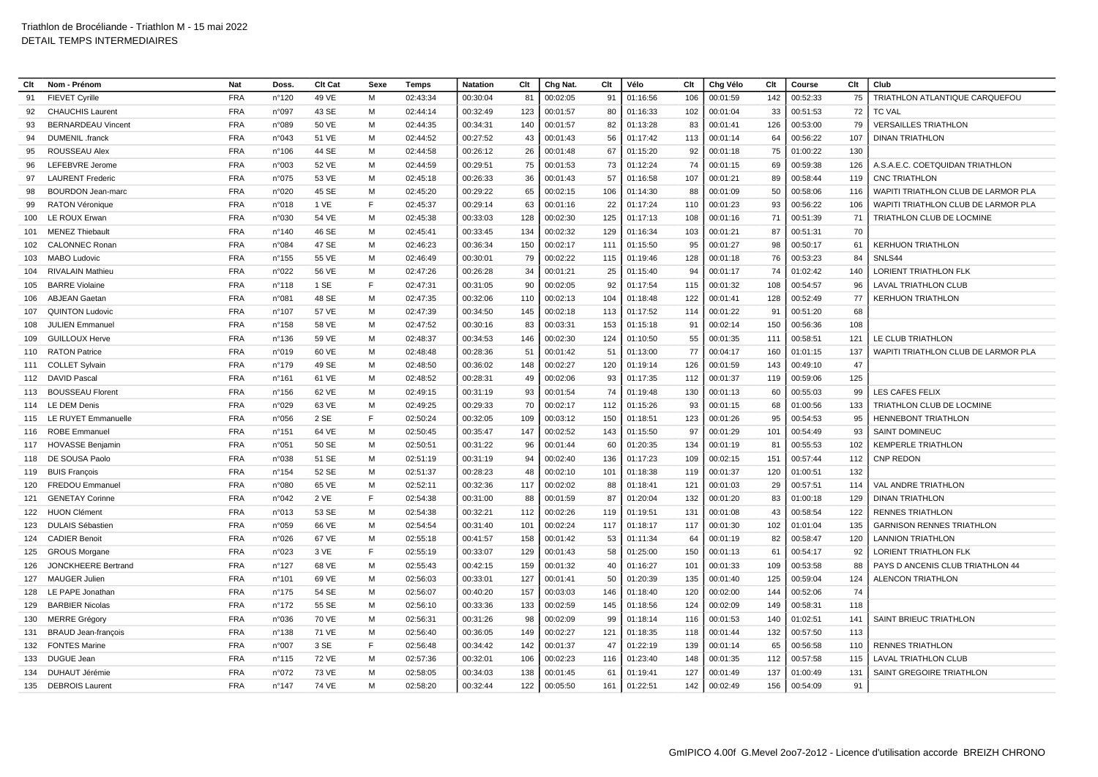| Clt | Nom - Prénom                                         | Nat        | Doss            | Clt Cat        | Sexe   | Temps                | <b>Natation</b>      | Clt       | Chg Nat. | Clt      | Vélo                 | Clt       | Chg Vélo | Clt       | Course               | Clt      | Club                                         |
|-----|------------------------------------------------------|------------|-----------------|----------------|--------|----------------------|----------------------|-----------|----------|----------|----------------------|-----------|----------|-----------|----------------------|----------|----------------------------------------------|
| 91  | <b>FIEVET Cyrille</b>                                | <b>FRA</b> | n°120           | 49 VE          | M      | 02:43:34             | 00:30:04             | 81        | 00:02:05 | 91       | 01:16:56             | 106       | 00:01:59 | 142       | 00:52:33             | 75       | <b>TRIATHLON ATLANTIQUE CARQUEFOU</b>        |
|     |                                                      | <b>FRA</b> |                 |                |        |                      |                      |           |          |          |                      |           |          |           |                      |          |                                              |
| 92  | <b>CHAUCHIS Laurent</b><br><b>BERNARDEAU Vincent</b> | <b>FRA</b> | n°097<br>n°089  | 43 SE<br>50 VE | м<br>M | 02:44:14<br>02:44:35 | 00:32:49             | 123       | 00:01:57 | 80       | 01:16:33             | 102<br>83 | 00:01:04 | 33<br>126 | 00:51:53             | 72<br>79 | <b>TC VAL</b><br><b>VERSAILLES TRIATHLON</b> |
| 93  | DUMENIL .franck                                      | <b>FRA</b> |                 |                | M      | 02:44:52             | 00:34:31<br>00:27:52 | 140<br>43 | 00:01:57 | 82<br>56 | 01:13:28<br>01:17:42 | 113       | 00:01:41 |           | 00:53:00<br>00:56:22 | 107      |                                              |
| 94  |                                                      |            | n°043           | 51 VE          |        |                      |                      |           | 00:01:43 |          |                      |           | 00:01:14 | 64        |                      |          | <b>DINAN TRIATHLON</b>                       |
| 95  | ROUSSEAU Alex                                        | <b>FRA</b> | $n^{\circ}106$  | 44 SE          | M      | 02:44:58             | 00:26:12             | 26        | 00:01:48 | 67       | 01:15:20             | 92        | 00:01:18 | 75        | 01:00:22             | 130      |                                              |
| 96  | LEFEBVRE Jerome                                      | <b>FRA</b> | n°003           | 52 VE          | м      | 02:44:59             | 00:29:51             | 75        | 00:01:53 | 73       | 01:12:24             | 74        | 00:01:15 | 69        | 00:59:38             | 126      | A.S.A.E.C. COETQUIDAN TRIATHLON              |
| 97  | <b>LAURENT Frederic</b>                              | <b>FRA</b> | n°075           | 53 VE          | M      | 02:45:18             | 00:26:33             | 36        | 00:01:43 | 57       | 01:16:58             | 107       | 00:01:21 | 89        | 00:58:44             | 119      | <b>CNC TRIATHLON</b>                         |
| 98  | <b>BOURDON Jean-marc</b>                             | <b>FRA</b> | n°020           | 45 SE          | M      | 02:45:20             | 00:29:22             | 65        | 00:02:15 | 106      | 01:14:30             | 88        | 00:01:09 | 50        | 00:58:06             | 116      | WAPITI TRIATHLON CLUB DE LARMOR PLA          |
| 99  | <b>RATON Véronique</b>                               | <b>FRA</b> | n°018           | 1 VE           | E      | 02:45:37             | 00:29:14             | 63        | 00:01:16 | 22       | 01:17:24             | 110       | 00:01:23 | 93        | 00:56:22             | 106      | WAPITI TRIATHLON CLUB DE LARMOR PLA          |
| 100 | LE ROUX Erwan                                        | <b>FRA</b> | n°030           | 54 VE          | M      | 02:45:38             | 00:33:03             | 128       | 00:02:30 | 125      | 01:17:13             | 108       | 00:01:16 | 71        | 00:51:39             | 71       | TRIATHLON CLUB DE LOCMINE                    |
| 101 | <b>MENEZ Thiebault</b>                               | <b>FRA</b> | n°140           | 46 SE          | M      | 02:45:41             | 00:33:45             | 134       | 00:02:32 | 129      | 01:16:34             | 103       | 00:01:21 | 87        | 00:51:31             | 70       |                                              |
| 102 | <b>CALONNEC Ronar</b>                                | <b>FRA</b> | n°084           | 47 SE          | M      | 02:46:23             | 00:36:34             | 150       | 00:02:17 | 111      | 01:15:50             | 95        | 00:01:27 | 98        | 00:50:17             | 61       | <b>KERHUON TRIATHLON</b>                     |
| 103 | <b>MABO Ludovic</b>                                  | <b>FRA</b> | $n^{\circ}$ 155 | 55 VE          | M      | 02:46:49             | 00:30:01             | 79        | 00:02:22 | 115      | 01:19:46             | 128       | 00:01:18 | 76        | 00:53:23             | 84       | SNLS44                                       |
| 104 | <b>RIVALAIN Mathieu</b>                              | <b>FRA</b> | n°022           | 56 VE          | M      | 02:47:26             | 00:26:28             | 34        | 00:01:21 | 25       | 01:15:40             | 94        | 00:01:17 | 74        | 01:02:42             | 140      | LORIENT TRIATHLON FLK                        |
| 105 | <b>BARRE Violaine</b>                                | <b>FRA</b> | $n^{\circ}$ 118 | 1 SE           | E      | 02:47:31             | 00:31:05             | 90        | 00:02:05 | 92       | 01:17:54             | 115       | 00:01:32 | 108       | 00:54:57             | 96       | LAVAL TRIATHLON CLUB                         |
| 106 | <b>ABJEAN Gaetan</b>                                 | <b>FRA</b> | n°081           | 48 SE          | м      | 02:47:35             | 00:32:06             | 110       | 00:02:13 | 104      | 01:18:48             | 122       | 00:01:41 | 128       | 00:52:49             | 77       | <b>KERHUON TRIATHLON</b>                     |
| 107 | <b>QUINTON Ludovic</b>                               | <b>FRA</b> | $n^{\circ}107$  | 57 VE          | M      | 02:47:39             | 00:34:50             | 145       | 00:02:18 | 113      | 01:17:52             | 114       | 00:01:22 | 91        | 00:51:20             | 68       |                                              |
| 108 | <b>JULIEN Emmanuel</b>                               | <b>FRA</b> | n°158           | 58 VE          | M      | 02:47:52             | 00:30:16             | 83        | 00:03:31 | 153      | 01:15:18             | 91        | 00:02:14 | 150       | 00:56:36             | 108      |                                              |
| 109 | <b>GUILLOUX Herve</b>                                | <b>FRA</b> | $n^{\circ}$ 136 | 59 VE          | M      | 02:48:37             | 00:34:53             | 146       | 00:02:30 | 124      | 01:10:50             | 55        | 00:01:35 | 111       | 00:58:51             | 121      | LE CLUB TRIATHLON                            |
| 110 | <b>RATON Patrice</b>                                 | <b>FRA</b> | n°019           | 60 VE          | M      | 02:48:48             | 00:28:36             | -51       | 00:01:42 | 51       | 01:13:00             | 77        | 00:04:17 | 160       | 01:01:15             | 137      | WAPITI TRIATHLON CLUB DE LARMOR PLA          |
| 111 | <b>COLLET Sylvain</b>                                | <b>FRA</b> | $n^{\circ}$ 179 | 49 SE          | м      | 02:48:50             | 00:36:02             | 148       | 00:02:27 | 120      | 01:19:14             | 126       | 00:01:59 | 143       | 00:49:10             | 47       |                                              |
| 112 | <b>DAVID Pascal</b>                                  | <b>FRA</b> | n°161           | 61 VE          | M      | 02:48:52             | 00:28:31             | 49        | 00:02:06 | 93       | 01:17:35             | 112       | 00:01:37 | 119       | 00:59:06             | 125      |                                              |
| 113 | <b>BOUSSEAU Florent</b>                              | <b>FRA</b> | $n^{\circ}$ 156 | 62 VE          | м      | 02:49:15             | 00:31:19             | 93        | 00:01:54 | 74       | 01:19:48             | 130       | 00:01:13 | 60        | 00:55:03             | 99       | LES CAFES FELIX                              |
| 114 | LE DEM Denis                                         | <b>FRA</b> | n°029           | 63 VE          | M      | 02:49:25             | 00:29:33             | 70        | 00:02:17 | 112      | 01:15:26             | 93        | 00:01:15 | 68        | 01:00:56             | 133      | TRIATHLON CLUB DE LOCMINE                    |
| 115 | LE RUYET Emmanuelle                                  | <b>FRA</b> | n°056           | 2 SE           | E      | 02:50:24             | 00:32:05             | 109       | 00:03:12 | 150      | 01:18:51             | 123       | 00:01:26 | 95        | 00:54:53             | 95       | <b>HENNEBONT TRIATHLON</b>                   |
| 116 | <b>ROBE Emmanue</b>                                  | <b>FRA</b> | $n^{\circ}$ 151 | 64 VE          | M      | 02:50:45             | 00:35:47             | 147       | 00:02:52 | 143      | 01:15:50             | 97        | 00:01:29 | 101       | 00:54:49             | 93       | <b>SAINT DOMINEUC</b>                        |
| 117 | <b>HOVASSE Benjamin</b>                              | <b>FRA</b> | n°051           | 50 SE          | M      | 02:50:51             | 00:31:22             | 96        | 00:01:44 | 60       | 01:20:35             | 134       | 00:01:19 | 81        | 00:55:53             | 102      | <b>KEMPERLE TRIATHLON</b>                    |
| 118 | DE SOUSA Paolo                                       | <b>FRA</b> | n°038           | 51 SE          | м      | 02:51:19             | 00:31:19             | 94        | 00:02:40 | 136      | 01:17:23             | 109       | 00:02:15 | 151       | 00:57:44             | 112      | <b>CNP REDON</b>                             |
| 119 | <b>BUIS Francois</b>                                 | <b>FRA</b> | $n^{\circ}154$  | 52 SE          | M      | 02:51:37             | 00:28:23             | 48        | 00:02:10 | 101      | 01:18:38             | 119       | 00:01:37 | 120       | 01:00:51             | 132      |                                              |
| 120 | <b>FREDOU Emmanuel</b>                               | <b>FRA</b> | n°080           | 65 VE          | M      | 02:52:11             | 00:32:36             | 117       | 00:02:02 | 88       | 01:18:41             | 121       | 00:01:03 | 29        | 00:57:51             | 114      | VAL ANDRE TRIATHLON                          |
| 121 | <b>GENETAY Corinne</b>                               | <b>FRA</b> | n°042           | 2 VE           | E      | 02:54:38             | 00:31:00             | 88        | 00:01:59 | 87       | 01:20:04             | 132       | 00:01:20 | 83        | 01:00:18             | 129      | <b>DINAN TRIATHLON</b>                       |
| 122 | <b>HUON Clément</b>                                  | <b>FRA</b> | n°013           | 53 SE          | M      | 02:54:38             | 00:32:21             | 112       | 00:02:26 | 119      | 01:19:51             | 131       | 00:01:08 | 43        | 00:58:54             | 122      | <b>RENNES TRIATHLON</b>                      |
| 123 | <b>DULAIS Sébastien</b>                              | <b>FRA</b> | n°059           | 66 VE          | M      | 02:54:54             | 00:31:40             | 101       | 00:02:24 | 117      | 01:18:17             | 117       | 00:01:30 | 102       | 01:01:04             | 135      | <b>GARNISON RENNES TRIATHLON</b>             |
| 124 | <b>CADIER Benoit</b>                                 | <b>FRA</b> | n°026           | 67 VE          | M      | 02:55:18             | 00:41:57             | 158       | 00:01:42 | 53       | 01:11:34             | 64        | 00:01:19 | 82        | 00:58:47             | 120      | <b>LANNION TRIATHLON</b>                     |
| 125 | <b>GROUS Morgane</b>                                 | <b>FRA</b> | n°023           | 3 VE           | E      | 02:55:19             | 00:33:07             | 129       | 00:01:43 | 58       | 01:25:00             | 150       | 00:01:13 | 61        | 00:54:17             | 92       | LORIENT TRIATHLON FLK                        |
| 126 | JONCKHEERE Bertrand                                  | <b>FRA</b> | n°127           | 68 VE          | м      | 02:55:43             | 00:42:15             | 159       | 00:01:32 | 40       | 01:16:27             | 101       | 00:01:33 | 109       | 00:53:58             | 88       | PAYS D ANCENIS CLUB TRIATHLON 44             |
| 127 | <b>MAUGER Julien</b>                                 | <b>FRA</b> | $n^{\circ}101$  | 69 VE          | M      | 02:56:03             | 00:33:01             | 127       | 00:01:41 | 50       | 01:20:39             | 135       | 00:01:40 | 125       | 00:59:04             | 124      | <b>ALENCON TRIATHLON</b>                     |
| 128 | LE PAPE Jonathan                                     | <b>FRA</b> | $n^{\circ}$ 175 | 54 SE          | M      | 02:56:07             | 00:40:20             | 157       | 00:03:03 | 146      | 01:18:40             | 120       | 00:02:00 | 144       | 00:52:06             | 74       |                                              |
| 129 | <b>BARBIER Nicolas</b>                               | <b>FRA</b> | $n^{\circ}$ 172 | 55 SE          | M      | 02:56:10             | 00:33:36             | 133       | 00:02:59 | 145      | 01:18:56             | 124       | 00:02:09 | 149       | 00:58:31             | 118      |                                              |
| 130 | <b>MERRE Grégory</b>                                 | <b>FRA</b> | n°036           | 70 VE          | M      | 02:56:31             | 00:31:26             | 98        | 00:02:09 | 99       | 01:18:14             | 116       | 00:01:53 | 140       | 01:02:51             | 141      | <b>SAINT BRIEUC TRIATHLON</b>                |
| 131 | <b>BRAUD Jean-françois</b>                           | <b>FRA</b> | n°138           | 71 VE          | M      | 02:56:40             | 00:36:05             | 149       | 00:02:27 | 121      | 01:18:35             | 118       | 00:01:44 | 132       | 00:57:50             | 113      |                                              |
| 132 | <b>FONTES Marine</b>                                 | <b>FRA</b> | n°007           | 3 SE           | E      | 02:56:48             | 00:34:42             | 142       | 00:01:37 | 47       | 01:22:19             | 139       | 00:01:14 | 65        | 00:56:58             | 110      | <b>RENNES TRIATHLON</b>                      |
| 133 | DUGUE Jean                                           | <b>FRA</b> | $n^{\circ}$ 115 | <b>72 VE</b>   | M      | 02:57:36             | 00:32:01             | 106       | 00:02:23 | 116      | 01:23:40             | 148       | 00:01:35 | 112       | 00:57:58             | 115      | LAVAL TRIATHLON CLUB                         |
| 134 | DUHAUT Jérémie                                       | <b>FRA</b> | n°072           | 73 VE          | M      | 02:58:05             | 00:34:03             | 138       | 00:01:45 | 61       | 01:19:41             | 127       | 00:01:49 | 137       | 01:00:49             | 131      | SAINT GREGOIRE TRIATHLON                     |
|     |                                                      |            |                 |                |        |                      |                      |           |          |          |                      |           |          |           |                      |          |                                              |
|     | 135 DEBROIS Laurent                                  | <b>FRA</b> | n°147           | 74 VE          | M      | 02:58:20             | 00:32:44             | 122       | 00:05:50 | 161      | 01:22:51             | 142       | 00:02:49 | 156       | 00:54:09             | 91       |                                              |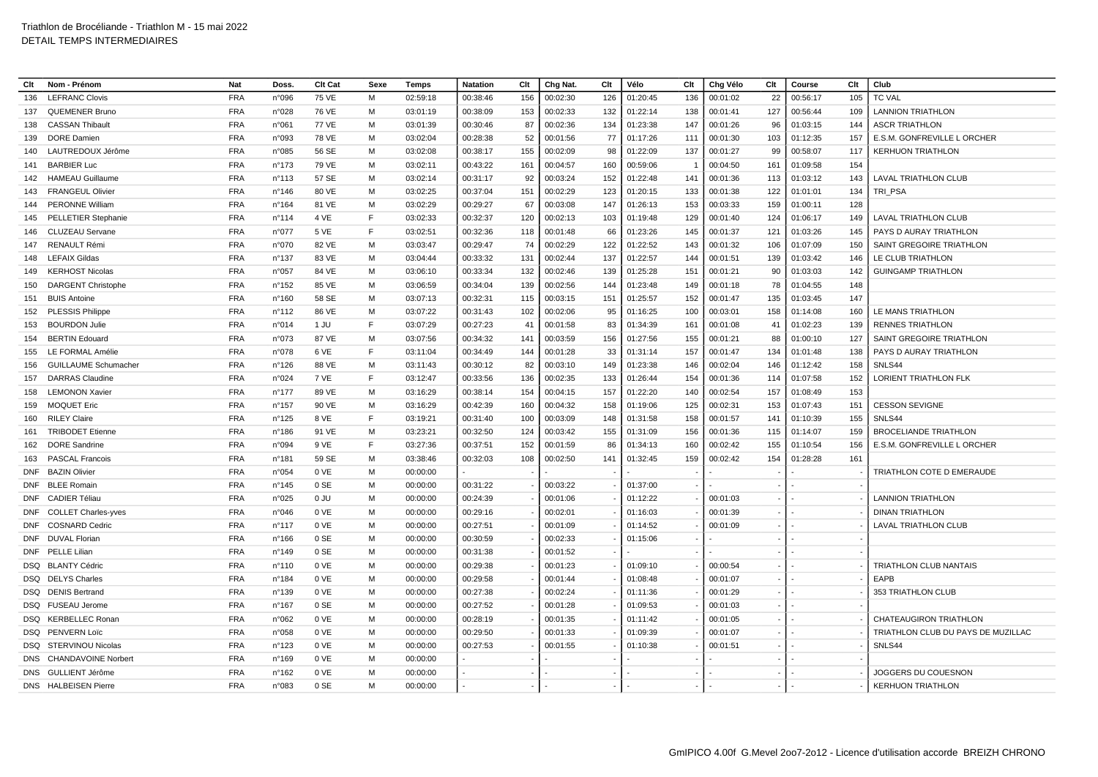| Clt        | Nom - Prénom                | <b>Nat</b> | Doss.           | <b>Clt Cat</b> | Sexe | Temps                | <b>Natation</b> | Clt | Chg Nat. | Clt | Vélo     | Clt | Chg Vélo | Clt | Course   | Clt | Club                               |
|------------|-----------------------------|------------|-----------------|----------------|------|----------------------|-----------------|-----|----------|-----|----------|-----|----------|-----|----------|-----|------------------------------------|
| 136        | <b>LEFRANC Clovis</b>       | <b>FRA</b> | n°096           | <b>75 VE</b>   | M    | 02:59:18             | 00:38:46        | 156 | 00:02:30 | 126 | 01:20:45 | 136 | 00:01:02 | 22  | 00:56:17 | 105 | <b>TC VAL</b>                      |
| 137        | <b>QUEMENER Bruno</b>       | <b>FRA</b> | n°028           | 76 VE          | м    | 03:01:19             | 00:38:09        | 153 | 00:02:33 | 132 | 01:22:14 | 138 | 00:01:41 | 127 | 00:56:44 | 109 | <b>LANNION TRIATHLON</b>           |
| 138        | <b>CASSAN Thibault</b>      | <b>FRA</b> | n°061           | 77 VE          | м    | 03:01:39             | 00:30:46        | 87  | 00:02:36 | 134 | 01:23:38 | 147 | 00:01:26 | 96  | 01:03:15 | 144 | <b>ASCR TRIATHLON</b>              |
| 139        | <b>DORE</b> Damien          | <b>FRA</b> | n°093           | 78 VE          | M    | 03:02:04             | 00:28:38        | 52  | 00:01:56 | 77  | 01:17:26 | 111 | 00:01:30 | 103 | 01:12:35 | 157 | E.S.M. GONFREVILLE L ORCHER        |
| 140        | LAUTREDOUX Jérôme           | <b>FRA</b> | n°085           | 56 SE          | м    | 03:02:08             | 00:38:17        | 155 | 00:02:09 | 98  | 01:22:09 | 137 | 00:01:27 | 99  | 00:58:07 | 117 | <b>KERHUON TRIATHLON</b>           |
| 141        | <b>BARBIER Luc</b>          | <b>FRA</b> | $n^{\circ}$ 173 | 79 VE          | М    | 03:02:11             | 00:43:22        | 161 | 00:04:57 | 160 | 00:59:06 | - 1 | 00:04:50 | 161 | 01:09:58 | 154 |                                    |
| 142        | <b>HAMEAU Guillaume</b>     | <b>FRA</b> | n°113           | 57 SE          | M    | 03:02:14             | 00:31:17        | 92  | 00:03:24 | 152 | 01:22:48 | 141 | 00:01:36 | 113 | 01:03:12 | 143 | LAVAL TRIATHLON CLUB               |
| 143        | <b>FRANGEUL Olivier</b>     | <b>FRA</b> | $n^{\circ}$ 146 | 80 VE          | м    | 03:02:25             | 00:37:04        | 151 | 00:02:29 | 123 | 01:20:15 | 133 | 00:01:38 | 122 | 01:01:01 | 134 | TRI PSA                            |
| 144        | <b>PERONNE William</b>      | <b>FRA</b> | n°164           | 81 VE          | м    | 03:02:29             | 00:29:27        | 67  | 00:03:08 | 147 | 01:26:13 | 153 | 00:03:33 | 159 | 01:00:11 | 128 |                                    |
| 145        | <b>PELLETIER Stephanie</b>  | <b>FRA</b> | $n^{\circ}$ 114 | 4 VE           | F    | 03:02:33             | 00:32:37        | 120 | 00:02:13 | 103 | 01:19:48 | 129 | 00:01:40 | 124 | 01:06:17 | 149 | <b>LAVAL TRIATHLON CLUB</b>        |
| 146        | <b>CLUZEAU Servane</b>      | <b>FRA</b> | n°077           | 5 VE           | E    | 03:02:51             | 00:32:36        | 118 | 00:01:48 | 66  | 01:23:26 | 145 | 00:01:37 | 121 | 01:03:26 | 145 | PAYS D AURAY TRIATHLON             |
| 147        | <b>RENAULT Rémi</b>         | <b>FRA</b> | n°070           | 82 VE          | м    | 03:03:47             | 00:29:47        | 74  | 00:02:29 | 122 | 01:22:52 | 143 | 00:01:32 | 106 | 01:07:09 | 150 | SAINT GREGOIRE TRIATHLON           |
| 148        | <b>LEFAIX Gildas</b>        | <b>FRA</b> | $n^{\circ}$ 137 | 83 VE          | M    | 03:04:44             | 00:33:32        | 131 | 00:02:44 | 137 | 01:22:57 | 144 | 00:01:51 | 139 | 01:03:42 | 146 | LE CLUB TRIATHLON                  |
| 149        | <b>KERHOST Nicolas</b>      | <b>FRA</b> | n°057           | 84 VE          | M    | 03:06:10             | 00:33:34        | 132 | 00:02:46 | 139 | 01:25:28 | 151 | 00:01:21 | 90  | 01:03:03 | 142 | <b>GUINGAMP TRIATHLON</b>          |
| 150        | <b>DARGENT Christophe</b>   | <b>FRA</b> | $n^{\circ}$ 152 | 85 VE          | м    | 03:06:59             | 00:34:04        | 139 | 00:02:56 | 144 | 01:23:48 | 149 | 00:01:18 | 78  | 01:04:55 | 148 |                                    |
| 151        | <b>BUIS Antoine</b>         | <b>FRA</b> | $n^{\circ}160$  | 58 SE          | м    | 03:07:13             | 00:32:31        | 115 | 00:03:15 | 151 | 01:25:57 | 152 | 00:01:47 | 135 | 01:03:45 | 147 |                                    |
| 152        | <b>PLESSIS Philippe</b>     | <b>FRA</b> | $n^{\circ}$ 112 | 86 VE          | M    | 03:07:22             | 00:31:43        | 102 | 00:02:06 | 95  | 01:16:25 | 100 | 00:03:01 | 158 | 01:14:08 | 160 | LE MANS TRIATHLON                  |
| 153        | <b>BOURDON Julie</b>        | <b>FRA</b> | n°014           | 1 JU           | F    | 03:07:29             | 00:27:23        | 41  | 00:01:58 | 83  | 01:34:39 | 161 | 00:01:08 | 41  | 01:02:23 | 139 | <b>RENNES TRIATHLON</b>            |
| 154        | <b>BERTIN Edouard</b>       | <b>FRA</b> | n°073           | 87 VE          | м    | 03:07:56             | 00:34:32        | 141 | 00:03:59 | 156 | 01:27:56 | 155 | 00:01:21 | 88  | 01:00:10 | 127 | SAINT GREGOIRE TRIATHLON           |
| 155        | LE FORMAL Amélie            | <b>FRA</b> | n°078           | 6 VE           | E    | 03:11:04             | 00:34:49        | 144 | 00:01:28 | 33  | 01:31:14 | 157 | 00:01:47 | 134 | 01:01:48 | 138 | PAYS D AURAY TRIATHLON             |
| 156        | <b>GUILLAUME Schumacher</b> | <b>FRA</b> | $n^{\circ}$ 126 | 88 VE          | М    | 03:11:43             | 00:30:12        | 82  | 00:03:10 | 149 | 01:23:38 | 146 | 00:02:04 | 146 | 01:12:42 | 158 | SNLS44                             |
| 157        | <b>DARRAS Claudine</b>      | <b>FRA</b> | n°024           | 7 VE           | E    | 03:12:47             | 00:33:56        | 136 | 00:02:35 | 133 | 01:26:44 | 154 | 00:01:36 | 114 | 01:07:58 | 152 | LORIENT TRIATHLON FLK              |
| 158        | <b>LEMONON Xavier</b>       | <b>FRA</b> | $n^{\circ}$ 177 | 89 VE          | M    | 03:16:29             | 00:38:14        | 154 | 00:04:15 | 157 | 01:22:20 | 140 | 00:02:54 | 157 | 01:08:49 | 153 |                                    |
| 159        | <b>MOQUET Eric</b>          | <b>FRA</b> | n°157           | 90 VE          | м    | 03:16:29             | 00:42:39        | 160 | 00:04:32 | 158 | 01:19:06 | 125 | 00:02:31 | 153 | 01:07:43 | 151 | <b>CESSON SEVIGNE</b>              |
| 160        | <b>RILEY Claire</b>         | <b>FRA</b> | $n^{\circ}$ 125 | 8 VE           | F    | 03:19:21             | 00:31:40        | 100 | 00:03:09 | 148 | 01:31:58 | 158 | 00:01:57 | 141 | 01:10:39 | 155 | SNLS44                             |
| 161        | <b>TRIBODET Etienne</b>     | <b>FRA</b> | $n^{\circ}$ 186 | 91 VE          | M    | 03:23:21             | 00:32:50        | 124 | 00:03:42 | 155 | 01:31:09 | 156 | 00:01:36 | 115 | 01:14:07 | 159 | <b>BROCELIANDE TRIATHLON</b>       |
| 162        | <b>DORE</b> Sandrine        | <b>FRA</b> | n°094           | 9 VE           | E    | 03:27:36             | 00:37:51        | 152 | 00:01:59 | 86  | 01:34:13 | 160 | 00:02:42 | 155 | 01:10:54 | 156 | E.S.M. GONFREVILLE L ORCHER        |
| 163        | <b>PASCAL Francois</b>      | <b>FRA</b> | $n^{\circ}$ 181 | 59 SE          | M    | 03:38:46             | 00:32:03        | 108 | 00:02:50 | 141 | 01:32:45 | 159 | 00:02:42 | 154 | 01:28:28 | 161 |                                    |
| <b>DNF</b> | <b>BAZIN Olivier</b>        | <b>FRA</b> | n°054           | 0 VE           | м    | 00:00:00             |                 |     |          |     |          |     |          |     |          |     | TRIATHLON COTE D EMERAUDE          |
|            | DNF BLEE Romain             | <b>FRA</b> | $n^{\circ}$ 145 | 0 SE           | м    | 00:00:00             | 00:31:22        |     | 00:03:22 |     | 01:37:00 |     |          |     |          |     |                                    |
| DNF        | <b>CADIER Téliau</b>        | <b>FRA</b> | n°025           | 0 JU           | М    | 00:00:00             | 00:24:39        |     | 00:01:06 |     | 01:12:22 |     | 00:01:03 |     |          |     | <b>LANNION TRIATHLON</b>           |
| <b>DNF</b> | <b>COLLET Charles-yves</b>  | <b>FRA</b> | n°046           | 0 VE           | M    | 00:00:00             | 00:29:16        |     | 00:02:01 |     | 01:16:03 |     | 00:01:39 |     |          |     | <b>DINAN TRIATHLON</b>             |
| <b>DNF</b> | <b>COSNARD Cedric</b>       | <b>FRA</b> | $n^{\circ}$ 117 | 0 VE           | M    | 00:00:00             | 00:27:51        |     | 00:01:09 |     | 01:14:52 |     | 00:01:09 |     |          |     | <b>LAVAL TRIATHLON CLUB</b>        |
| <b>DNF</b> | <b>DUVAL Florian</b>        | <b>FRA</b> | $n^{\circ}$ 166 | 0 SE           | м    | 00:00:00             | 00:30:59        |     | 00:02:33 |     | 01:15:06 |     |          |     |          |     |                                    |
|            | DNF PELLE Lilian            | <b>FRA</b> | $n^{\circ}$ 149 | 0 SE           | М    |                      | 00:31:38        |     | 00:01:52 |     |          |     |          |     |          |     |                                    |
|            | DSQ BLANTY Cédric           | <b>FRA</b> | $n^{\circ}110$  | 0 VE           | м    | 00:00:00<br>00:00:00 | 00:29:38        |     | 00:01:23 |     | 01:09:10 |     | 00:00:54 |     |          |     | TRIATHLON CLUB NANTAIS             |
| DSQ        | <b>DELYS Charles</b>        | <b>FRA</b> | n°184           | 0 VE           | м    | 00:00:00             | 00:29:58        |     | 00:01:44 |     | 01:08:48 |     | 00:01:07 |     |          |     | EAPB                               |
|            |                             |            |                 |                |      |                      |                 |     |          |     |          |     |          |     |          |     |                                    |
|            | DSQ DENIS Bertrand          | <b>FRA</b> | $n^{\circ}$ 139 | 0 VE           | м    | 00:00:00             | 00:27:38        |     | 00:02:24 |     | 01:11:36 |     | 00:01:29 |     |          |     | 353 TRIATHLON CLUB                 |
| DSQ        | <b>FUSEAU Jerome</b>        | <b>FRA</b> | n°167           | 0 SE           | м    | 00:00:00             | 00:27:52        |     | 00:01:28 |     | 01:09:53 |     | 00:01:03 |     |          |     |                                    |
|            | DSQ KERBELLEC Ronan         | <b>FRA</b> | n°062           | 0 VE           | м    | 00:00:00             | 00:28:19        |     | 00:01:35 |     | 01:11:42 |     | 00:01:05 |     |          |     | <b>CHATEAUGIRON TRIATHLON</b>      |
|            | DSQ PENVERN Loïc            | <b>FRA</b> | n°058           | 0 VE           | м    | 00:00:00             | 00:29:50        |     | 00:01:33 |     | 01:09:39 |     | 00:01:07 |     |          |     | TRIATHLON CLUB DU PAYS DE MUZILLAC |
| DSQ        | STERVINOU Nicolas           | <b>FRA</b> | $n^{\circ}$ 123 | 0 VE           | M    | 00:00:00             | 00:27:53        |     | 00:01:55 |     | 01:10:38 |     | 00:01:51 |     |          |     | SNLS44                             |
|            | DNS CHANDAVOINE Norbert     | <b>FRA</b> | n°169           | 0 VE           | м    | 00:00:00             |                 |     |          |     |          |     |          |     |          |     |                                    |
| DNS        | GULLIENT Jérôme             | <b>FRA</b> | n°162           | 0 VE           | М    | 00:00:00             |                 |     |          |     |          |     |          |     |          |     | JOGGERS DU COUESNON                |
|            | <b>DNS</b> HALBEISEN Pierre | <b>FRA</b> | n°083           | 0 SE           | м    | 00:00:00             |                 |     |          |     |          |     |          |     |          |     | <b>KERHUON TRIATHLON</b>           |
|            |                             |            |                 |                |      |                      |                 |     |          |     |          |     |          |     |          |     |                                    |